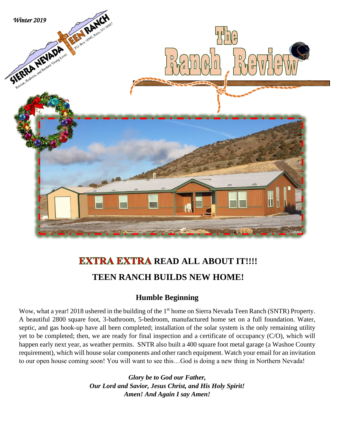

## **EXTRA EXTRA READ ALL ABOUT IT!!!! TEEN RANCH BUILDS NEW HOME!**

## **Humble Beginning**

Wow, what a year! 2018 ushered in the building of the 1<sup>st</sup> home on Sierra Nevada Teen Ranch (SNTR) Property. A beautiful 2800 square foot, 3-bathroom, 5-bedroom, manufactured home set on a full foundation. Water, septic, and gas hook-up have all been completed; installation of the solar system is the only remaining utility yet to be completed; then, we are ready for final inspection and a certificate of occupancy (C/O), which will happen early next year, as weather permits. SNTR also built a 400 square foot metal garage (a Washoe County requirement), which will house solar components and other ranch equipment. Watch your email for an invitation to our open house coming soon! You will want to see this…God is doing a new thing in Northern Nevada!

> *Glory be to God our Father, Our Lord and Savior, Jesus Christ, and His Holy Spirit! Amen! And Again I say Amen!*